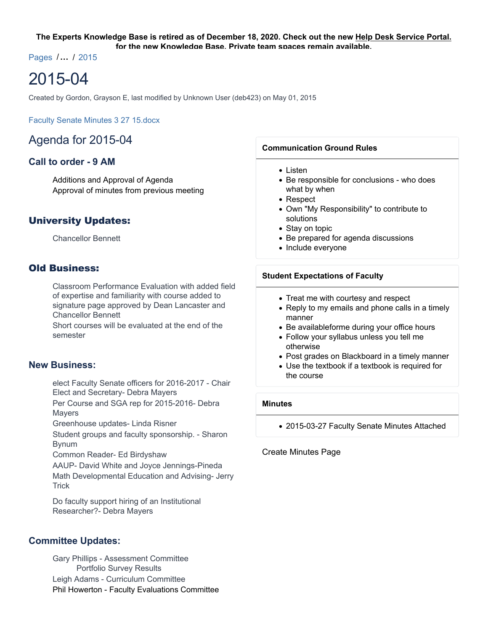#### **The Experts Knowledge Base is retired as of December 18, 2020. Check out the new Help Desk Service Portal. for the new Knowledge Base. Private team spaces remain available.**

Pages /**…** / 2015

# 2015-04

Created by Gordon, Grayson E, last modified by Unknown User (deb423) on May 01, 2015

Faculty Senate Minutes 3 27 15.docx

# Agenda for 2015-04

# **Call to order - 9 AM**

Additions and Approval of Agenda Approval of minutes from previous meeting

# University Updates:

Chancellor Bennett

# Old Business:

Classroom Performance Evaluation with added field of expertise and familiarity with course added to signature page approved by Dean Lancaster and Chancellor Bennett

Short courses will be evaluated at the end of the semester

## **New Business:**

elect Faculty Senate officers for 2016-2017 - Chair Elect and Secretary- Debra Mayers

Per Course and SGA rep for 2015-2016- Debra Mayers

Greenhouse updates- Linda Risner

Student groups and faculty sponsorship. - Sharon Bynum

Common Reader- Ed Birdyshaw

AAUP- David White and Joyce Jennings-Pineda Math Developmental Education and Advising- Jerry **Trick** 

Do faculty support hiring of an Institutional Researcher?- Debra Mayers

## **Committee Updates:**

Gary Phillips - Assessment Committee Portfolio Survey Results Leigh Adams - Curriculum Committee Phil Howerton - Faculty Evaluations Committee

#### **Communication Ground Rules**

- Listen
- Be responsible for conclusions who does what by when
- Respect
- Own "My Responsibility" to contribute to solutions
- Stay on topic
- Be prepared for agenda discussions
- Include everyone

#### **Student Expectations of Faculty**

- Treat me with courtesy and respect
- Reply to my emails and phone calls in a timely manner
- Be availableforme during your office hours
- Follow your syllabus unless you tell me otherwise
- Post grades on Blackboard in a timely manner
- Use the textbook if a textbook is required for the course

#### **Minutes**

2015-03-27 Faculty Senate Minutes Attached

Create Minutes Page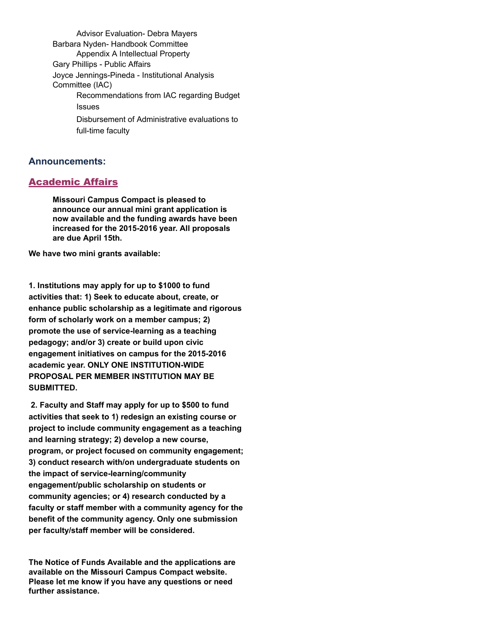Advisor Evaluation- Debra Mayers Barbara Nyden- Handbook Committee Appendix A Intellectual Property Gary Phillips - Public Affairs Joyce Jennings-Pineda - Institutional Analysis Committee (IAC) Recommendations from IAC regarding Budget **Issues** Disbursement of Administrative evaluations to full-time faculty

## **Announcements:**

# Academic Affairs

**Missouri Campus Compact is pleased to announce our annual mini grant application is now available and the funding awards have been increased for the 2015-2016 year. All proposals are due April 15th.**

**We have two mini grants available:**

**1. Institutions may apply for up to \$1000 to fund activities that: 1) Seek to educate about, create, or enhance public scholarship as a legitimate and rigorous form of scholarly work on a member campus; 2) promote the use of service-learning as a teaching pedagogy; and/or 3) create or build upon civic engagement initiatives on campus for the 2015-2016 academic year. ONLY ONE INSTITUTION-WIDE PROPOSAL PER MEMBER INSTITUTION MAY BE SUBMITTED.**

 **2. Faculty and Staff may apply for up to \$500 to fund activities that seek to 1) redesign an existing course or project to include community engagement as a teaching and learning strategy; 2) develop a new course, program, or project focused on community engagement; 3) conduct research with/on undergraduate students on the impact of service-learning/community engagement/public scholarship on students or community agencies; or 4) research conducted by a faculty or staff member with a community agency for the benefit of the community agency. Only one submission per faculty/staff member will be considered.**

**The Notice of Funds Available and the applications are available on the Missouri Campus Compact website. Please let me know if you have any questions or need further assistance.**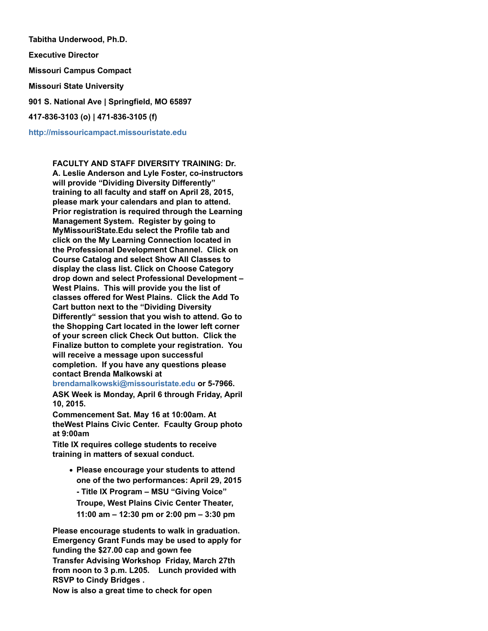**Tabitha Underwood, Ph.D. Executive Director Missouri Campus Compact Missouri State University 901 S. National Ave | Springfield, MO 65897 417-836-3103 (o) | 471-836-3105 (f)**

**http://missouricampact.missouristate.edu**

**FACULTY AND STAFF DIVERSITY TRAINING: Dr. A. Leslie Anderson and Lyle Foster, co-instructors will provide "Dividing Diversity Differently" training to all faculty and staff on April 28, 2015, please mark your calendars and plan to attend. Prior registration is required through the Learning Management System. Register by going to MyMissouriState.Edu select the Profile tab and click on the My Learning Connection located in the Professional Development Channel. Click on Course Catalog and select Show All Classes to display the class list. Click on Choose Category drop down and select Professional Development – West Plains. This will provide you the list of classes offered for West Plains. Click the Add To Cart button next to the "Dividing Diversity Differently" session that you wish to attend. Go to the Shopping Cart located in the lower left corner of your screen click Check Out button. Click the Finalize button to complete your registration. You will receive a message upon successful completion. If you have any questions please contact Brenda Malkowski at**

**brendamalkowski@missouristate.edu or 5-7966. ASK Week is Monday, April 6 through Friday, April 10, 2015.**

**Commencement Sat. May 16 at 10:00am. At theWest Plains Civic Center. Fcaulty Group photo at 9:00am**

**Title IX requires college students to receive training in matters of sexual conduct.** 

**Please encourage your students to attend one of the two performances: April 29, 2015 - Title IX Program – MSU "Giving Voice" Troupe, West Plains Civic Center Theater, 11:00 am – 12:30 pm or 2:00 pm – 3:30 pm**

**Please encourage students to walk in graduation. Emergency Grant Funds may be used to apply for funding the \$27.00 cap and gown fee**

**Transfer Advising Workshop Friday, March 27th from noon to 3 p.m. L205. Lunch provided with RSVP to Cindy Bridges .**

**Now is also a great time to check for open**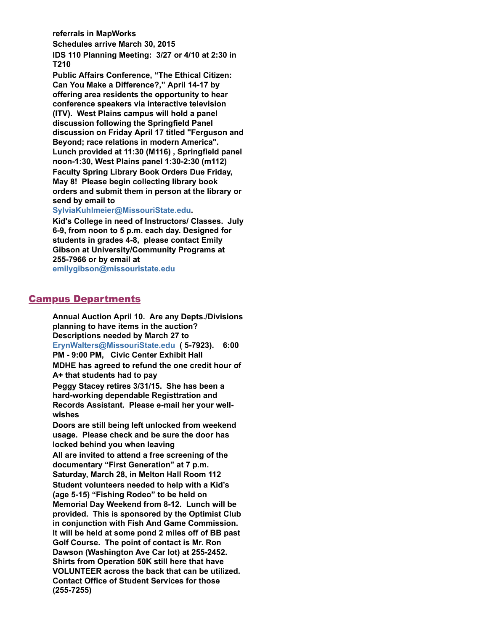**referrals in MapWorks**

**Schedules arrive March 30, 2015 IDS 110 Planning Meeting: 3/27 or 4/10 at 2:30 in T210**

**Public Affairs Conference, "The Ethical Citizen: Can You Make a Difference?," April 14-17 by offering area residents the opportunity to hear conference speakers via interactive television (ITV). West Plains campus will hold a panel discussion following the Springfield Panel discussion on Friday April 17 titled "Ferguson and Beyond; race relations in modern America". Lunch provided at 11:30 (M116) , Springfield panel noon-1:30, West Plains panel 1:30-2:30 (m112) Faculty Spring Library Book Orders Due Friday, May 8! Please begin collecting library book orders and submit them in person at the library or send by email to**

#### **SylviaKuhlmeier@MissouriState.edu.**

**Kid's College in need of Instructors/ Classes. July 6-9, from noon to 5 p.m. each day. Designed for students in grades 4-8, please contact Emily Gibson at University/Community Programs at 255-7966 or by email at emilygibson@missouristate.edu**

# Campus Departments

**Annual Auction April 10. Are any Depts./Divisions planning to have items in the auction? Descriptions needed by March 27 to ErynWalters@MissouriState.edu ( 5-7923). 6:00 PM - 9:00 PM, Civic Center Exhibit Hall MDHE has agreed to refund the one credit hour of A+ that students had to pay Peggy Stacey retires 3/31/15. She has been a hard-working dependable Registtration and Records Assistant. Please e-mail her your wellwishes Doors are still being left unlocked from weekend usage. Please check and be sure the door has locked behind you when leaving All are invited to attend a free screening of the documentary "First Generation" at 7 p.m. Saturday, March 28, in Melton Hall Room 112 Student volunteers needed to help with a Kid's**

**(age 5-15) "Fishing Rodeo" to be held on Memorial Day Weekend from 8-12. Lunch will be provided. This is sponsored by the Optimist Club in conjunction with Fish And Game Commission. It will be held at some pond 2 miles off of BB past Golf Course. The point of contact is Mr. Ron Dawson (Washington Ave Car lot) at 255-2452. Shirts from Operation 50K still here that have VOLUNTEER across the back that can be utilized. Contact Office of Student Services for those (255-7255)**